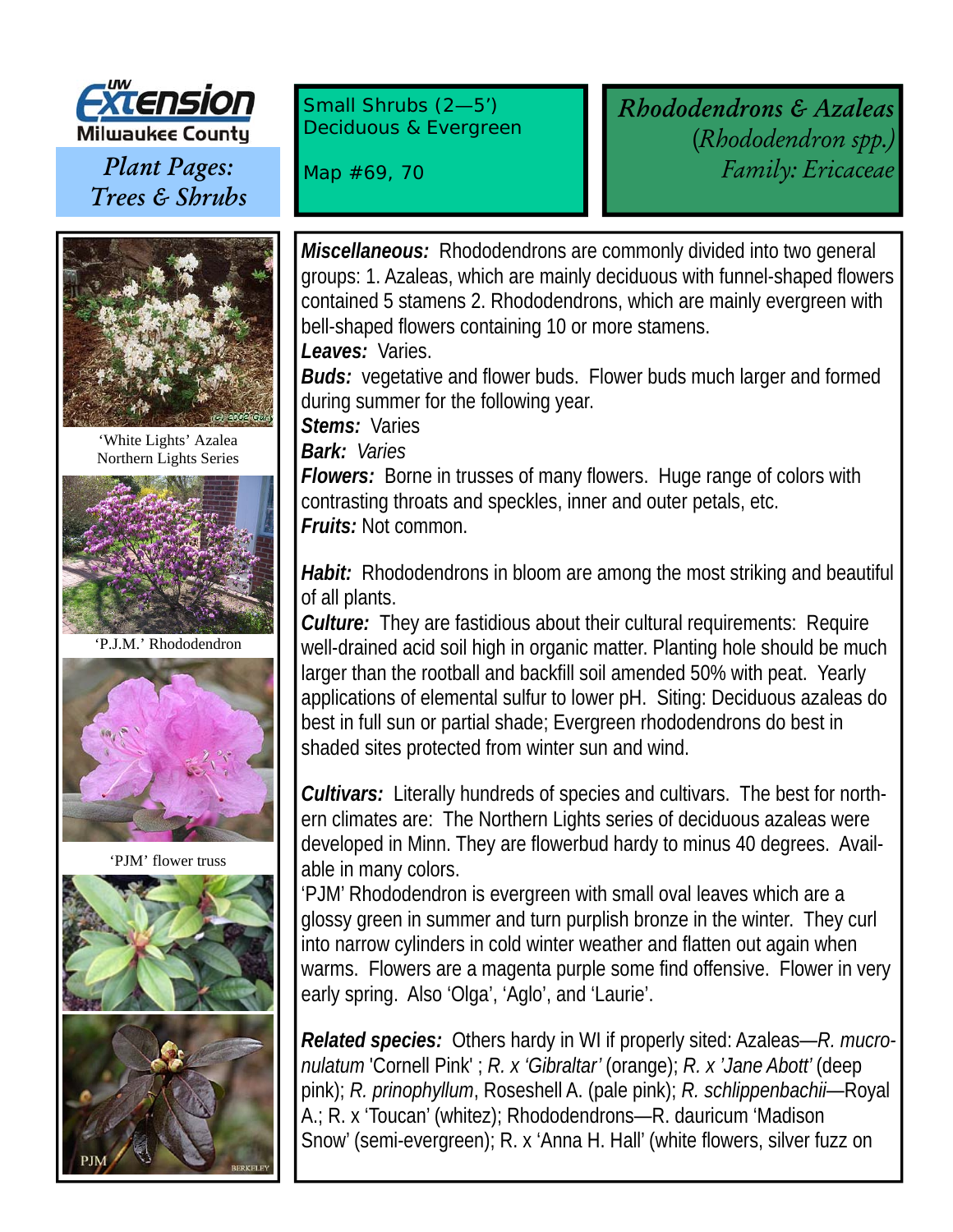

*Plant Pages: Trees & Shrubs* 



'White Lights' Azalea Northern Lights Series



'P.J.M.' Rhododendron



'PJM' flower truss



Small Shrubs (2—5') Deciduous & Evergreen

Map #69, 70

*Rhododendrons & Azaleas* (*Rhododendron spp.) Family: Ericaceae*

*Miscellaneous:* Rhododendrons are commonly divided into two general groups: 1. Azaleas, which are mainly deciduous with funnel-shaped flowers contained 5 stamens 2. Rhododendrons, which are mainly evergreen with bell-shaped flowers containing 10 or more stamens. *Leaves:* Varies.

*Buds:* vegetative and flower buds. Flower buds much larger and formed during summer for the following year.

*Stems:* Varies

*Bark: Varies*

**Flowers:** Borne in trusses of many flowers. Huge range of colors with contrasting throats and speckles, inner and outer petals, etc. *Fruits:* Not common.

*Habit:* Rhododendrons in bloom are among the most striking and beautiful of all plants.

*Culture:* They are fastidious about their cultural requirements: Require well-drained acid soil high in organic matter. Planting hole should be much larger than the rootball and backfill soil amended 50% with peat. Yearly applications of elemental sulfur to lower pH. Siting: Deciduous azaleas do best in full sun or partial shade; Evergreen rhododendrons do best in shaded sites protected from winter sun and wind.

*Cultivars:* Literally hundreds of species and cultivars. The best for northern climates are: The Northern Lights series of deciduous azaleas were developed in Minn. They are flowerbud hardy to minus 40 degrees. Available in many colors.

'PJM' Rhododendron is evergreen with small oval leaves which are a glossy green in summer and turn purplish bronze in the winter. They curl into narrow cylinders in cold winter weather and flatten out again when warms. Flowers are a magenta purple some find offensive. Flower in very early spring. Also 'Olga', 'Aglo', and 'Laurie'.

*Related species:* Others hardy in WI if properly sited: Azaleas—*R. mucronulatum* 'Cornell Pink' ; *R. x 'Gibraltar'* (orange); *R. x 'Jane Abott'* (deep pink); *R. prinophyllum*, Roseshell A. (pale pink); *R. schlippenbachii*—Royal A.; R. x 'Toucan' (whitez); Rhododendrons—R. dauricum 'Madison Snow' (semi-evergreen); R. x 'Anna H. Hall' (white flowers, silver fuzz on